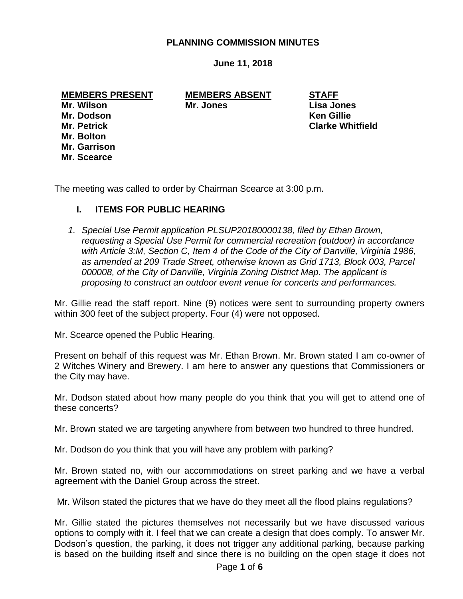### **PLANNING COMMISSION MINUTES**

**June 11, 2018**

#### **MEMBERS PRESENT MEMBERS ABSENT STAFF**

**Mr. Wilson Mr. Jones Lisa Jones**

**Mr. Petrick Clarke Whitfield**

**Mr. Dodson Ken Gillie Mr. Bolton Mr. Garrison Mr. Scearce**

The meeting was called to order by Chairman Scearce at 3:00 p.m.

# **I. ITEMS FOR PUBLIC HEARING**

*1. Special Use Permit application PLSUP20180000138, filed by Ethan Brown, requesting a Special Use Permit for commercial recreation (outdoor) in accordance with Article 3:M, Section C, Item 4 of the Code of the City of Danville, Virginia 1986, as amended at 209 Trade Street, otherwise known as Grid 1713, Block 003, Parcel 000008, of the City of Danville, Virginia Zoning District Map. The applicant is proposing to construct an outdoor event venue for concerts and performances.*

Mr. Gillie read the staff report. Nine (9) notices were sent to surrounding property owners within 300 feet of the subject property. Four (4) were not opposed.

Mr. Scearce opened the Public Hearing.

Present on behalf of this request was Mr. Ethan Brown. Mr. Brown stated I am co-owner of 2 Witches Winery and Brewery. I am here to answer any questions that Commissioners or the City may have.

Mr. Dodson stated about how many people do you think that you will get to attend one of these concerts?

Mr. Brown stated we are targeting anywhere from between two hundred to three hundred.

Mr. Dodson do you think that you will have any problem with parking?

Mr. Brown stated no, with our accommodations on street parking and we have a verbal agreement with the Daniel Group across the street.

Mr. Wilson stated the pictures that we have do they meet all the flood plains regulations?

Mr. Gillie stated the pictures themselves not necessarily but we have discussed various options to comply with it. I feel that we can create a design that does comply. To answer Mr. Dodson's question, the parking, it does not trigger any additional parking, because parking is based on the building itself and since there is no building on the open stage it does not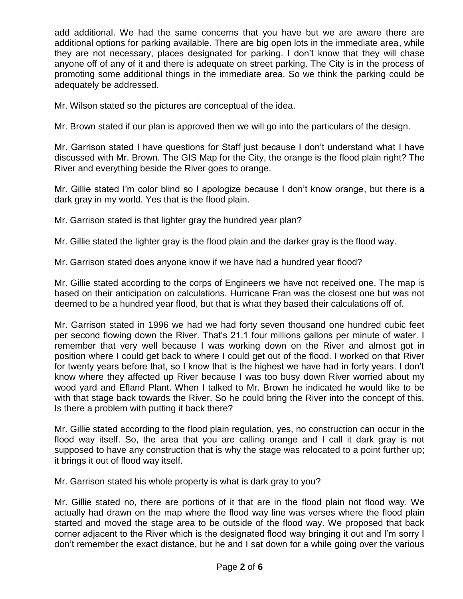add additional. We had the same concerns that you have but we are aware there are additional options for parking available. There are big open lots in the immediate area, while they are not necessary, places designated for parking. I don't know that they will chase anyone off of any of it and there is adequate on street parking. The City is in the process of promoting some additional things in the immediate area. So we think the parking could be adequately be addressed.

Mr. Wilson stated so the pictures are conceptual of the idea.

Mr. Brown stated if our plan is approved then we will go into the particulars of the design.

Mr. Garrison stated I have questions for Staff just because I don't understand what I have discussed with Mr. Brown. The GIS Map for the City, the orange is the flood plain right? The River and everything beside the River goes to orange.

Mr. Gillie stated I'm color blind so I apologize because I don't know orange, but there is a dark gray in my world. Yes that is the flood plain.

Mr. Garrison stated is that lighter gray the hundred year plan?

Mr. Gillie stated the lighter gray is the flood plain and the darker gray is the flood way.

Mr. Garrison stated does anyone know if we have had a hundred year flood?

Mr. Gillie stated according to the corps of Engineers we have not received one. The map is based on their anticipation on calculations. Hurricane Fran was the closest one but was not deemed to be a hundred year flood, but that is what they based their calculations off of.

Mr. Garrison stated in 1996 we had we had forty seven thousand one hundred cubic feet per second flowing down the River. That's 21.1 four millions gallons per minute of water. I remember that very well because I was working down on the River and almost got in position where I could get back to where I could get out of the flood. I worked on that River for twenty years before that, so I know that is the highest we have had in forty years. I don't know where they affected up River because I was too busy down River worried about my wood yard and Efland Plant. When I talked to Mr. Brown he indicated he would like to be with that stage back towards the River. So he could bring the River into the concept of this. Is there a problem with putting it back there?

Mr. Gillie stated according to the flood plain regulation, yes, no construction can occur in the flood way itself. So, the area that you are calling orange and I call it dark gray is not supposed to have any construction that is why the stage was relocated to a point further up; it brings it out of flood way itself.

Mr. Garrison stated his whole property is what is dark gray to you?

Mr. Gillie stated no, there are portions of it that are in the flood plain not flood way. We actually had drawn on the map where the flood way line was verses where the flood plain started and moved the stage area to be outside of the flood way. We proposed that back corner adjacent to the River which is the designated flood way bringing it out and I'm sorry I don't remember the exact distance, but he and I sat down for a while going over the various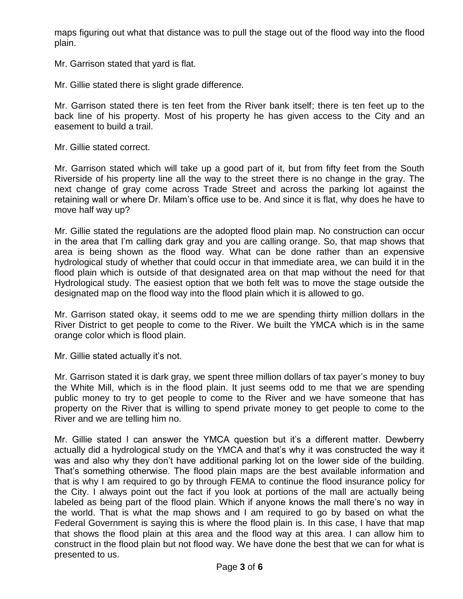maps figuring out what that distance was to pull the stage out of the flood way into the flood plain.

Mr. Garrison stated that yard is flat.

Mr. Gillie stated there is slight grade difference.

Mr. Garrison stated there is ten feet from the River bank itself; there is ten feet up to the back line of his property. Most of his property he has given access to the City and an easement to build a trail.

Mr. Gillie stated correct.

Mr. Garrison stated which will take up a good part of it, but from fifty feet from the South Riverside of his property line all the way to the street there is no change in the gray. The next change of gray come across Trade Street and across the parking lot against the retaining wall or where Dr. Milam's office use to be. And since it is flat, why does he have to move half way up?

Mr. Gillie stated the regulations are the adopted flood plain map. No construction can occur in the area that I'm calling dark gray and you are calling orange. So, that map shows that area is being shown as the flood way. What can be done rather than an expensive hydrological study of whether that could occur in that immediate area, we can build it in the flood plain which is outside of that designated area on that map without the need for that Hydrological study. The easiest option that we both felt was to move the stage outside the designated map on the flood way into the flood plain which it is allowed to go.

Mr. Garrison stated okay, it seems odd to me we are spending thirty million dollars in the River District to get people to come to the River. We built the YMCA which is in the same orange color which is flood plain.

Mr. Gillie stated actually it's not.

Mr. Garrison stated it is dark gray, we spent three million dollars of tax payer's money to buy the White Mill, which is in the flood plain. It just seems odd to me that we are spending public money to try to get people to come to the River and we have someone that has property on the River that is willing to spend private money to get people to come to the River and we are telling him no.

Mr. Gillie stated I can answer the YMCA question but it's a different matter. Dewberry actually did a hydrological study on the YMCA and that's why it was constructed the way it was and also why they don't have additional parking lot on the lower side of the building. That's something otherwise. The flood plain maps are the best available information and that is why I am required to go by through FEMA to continue the flood insurance policy for the City. I always point out the fact if you look at portions of the mall are actually being labeled as being part of the flood plain. Which if anyone knows the mall there's no way in the world. That is what the map shows and I am required to go by based on what the Federal Government is saying this is where the flood plain is. In this case, I have that map that shows the flood plain at this area and the flood way at this area. I can allow him to construct in the flood plain but not flood way. We have done the best that we can for what is presented to us.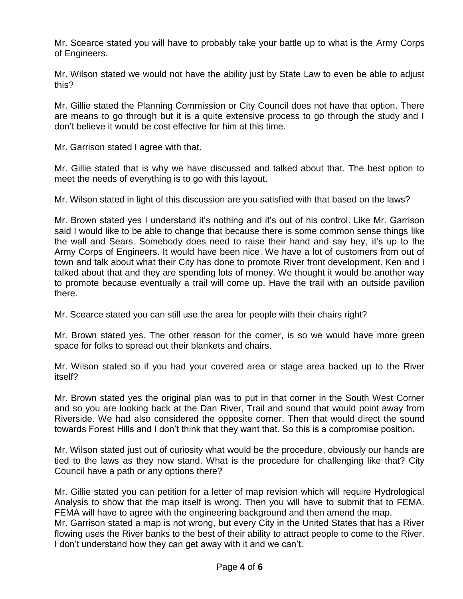Mr. Scearce stated you will have to probably take your battle up to what is the Army Corps of Engineers.

Mr. Wilson stated we would not have the ability just by State Law to even be able to adjust this?

Mr. Gillie stated the Planning Commission or City Council does not have that option. There are means to go through but it is a quite extensive process to go through the study and I don't believe it would be cost effective for him at this time.

Mr. Garrison stated I agree with that.

Mr. Gillie stated that is why we have discussed and talked about that. The best option to meet the needs of everything is to go with this layout.

Mr. Wilson stated in light of this discussion are you satisfied with that based on the laws?

Mr. Brown stated yes I understand it's nothing and it's out of his control. Like Mr. Garrison said I would like to be able to change that because there is some common sense things like the wall and Sears. Somebody does need to raise their hand and say hey, it's up to the Army Corps of Engineers. It would have been nice. We have a lot of customers from out of town and talk about what their City has done to promote River front development. Ken and I talked about that and they are spending lots of money. We thought it would be another way to promote because eventually a trail will come up. Have the trail with an outside pavilion there.

Mr. Scearce stated you can still use the area for people with their chairs right?

Mr. Brown stated yes. The other reason for the corner, is so we would have more green space for folks to spread out their blankets and chairs.

Mr. Wilson stated so if you had your covered area or stage area backed up to the River itself?

Mr. Brown stated yes the original plan was to put in that corner in the South West Corner and so you are looking back at the Dan River, Trail and sound that would point away from Riverside. We had also considered the opposite corner. Then that would direct the sound towards Forest Hills and I don't think that they want that. So this is a compromise position.

Mr. Wilson stated just out of curiosity what would be the procedure, obviously our hands are tied to the laws as they now stand. What is the procedure for challenging like that? City Council have a path or any options there?

Mr. Gillie stated you can petition for a letter of map revision which will require Hydrological Analysis to show that the map itself is wrong. Then you will have to submit that to FEMA. FEMA will have to agree with the engineering background and then amend the map. Mr. Garrison stated a map is not wrong, but every City in the United States that has a River flowing uses the River banks to the best of their ability to attract people to come to the River. I don't understand how they can get away with it and we can't.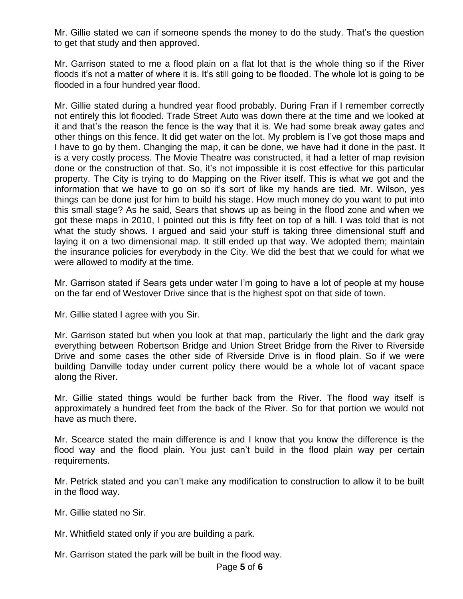Mr. Gillie stated we can if someone spends the money to do the study. That's the question to get that study and then approved.

Mr. Garrison stated to me a flood plain on a flat lot that is the whole thing so if the River floods it's not a matter of where it is. It's still going to be flooded. The whole lot is going to be flooded in a four hundred year flood.

Mr. Gillie stated during a hundred year flood probably. During Fran if I remember correctly not entirely this lot flooded. Trade Street Auto was down there at the time and we looked at it and that's the reason the fence is the way that it is. We had some break away gates and other things on this fence. It did get water on the lot. My problem is I've got those maps and I have to go by them. Changing the map, it can be done, we have had it done in the past. It is a very costly process. The Movie Theatre was constructed, it had a letter of map revision done or the construction of that. So, it's not impossible it is cost effective for this particular property. The City is trying to do Mapping on the River itself. This is what we got and the information that we have to go on so it's sort of like my hands are tied. Mr. Wilson, yes things can be done just for him to build his stage. How much money do you want to put into this small stage? As he said, Sears that shows up as being in the flood zone and when we got these maps in 2010, I pointed out this is fifty feet on top of a hill. I was told that is not what the study shows. I argued and said your stuff is taking three dimensional stuff and laying it on a two dimensional map. It still ended up that way. We adopted them; maintain the insurance policies for everybody in the City. We did the best that we could for what we were allowed to modify at the time.

Mr. Garrison stated if Sears gets under water I'm going to have a lot of people at my house on the far end of Westover Drive since that is the highest spot on that side of town.

Mr. Gillie stated I agree with you Sir.

Mr. Garrison stated but when you look at that map, particularly the light and the dark gray everything between Robertson Bridge and Union Street Bridge from the River to Riverside Drive and some cases the other side of Riverside Drive is in flood plain. So if we were building Danville today under current policy there would be a whole lot of vacant space along the River.

Mr. Gillie stated things would be further back from the River. The flood way itself is approximately a hundred feet from the back of the River. So for that portion we would not have as much there.

Mr. Scearce stated the main difference is and I know that you know the difference is the flood way and the flood plain. You just can't build in the flood plain way per certain requirements.

Mr. Petrick stated and you can't make any modification to construction to allow it to be built in the flood way.

Mr. Gillie stated no Sir.

Mr. Whitfield stated only if you are building a park.

Mr. Garrison stated the park will be built in the flood way.